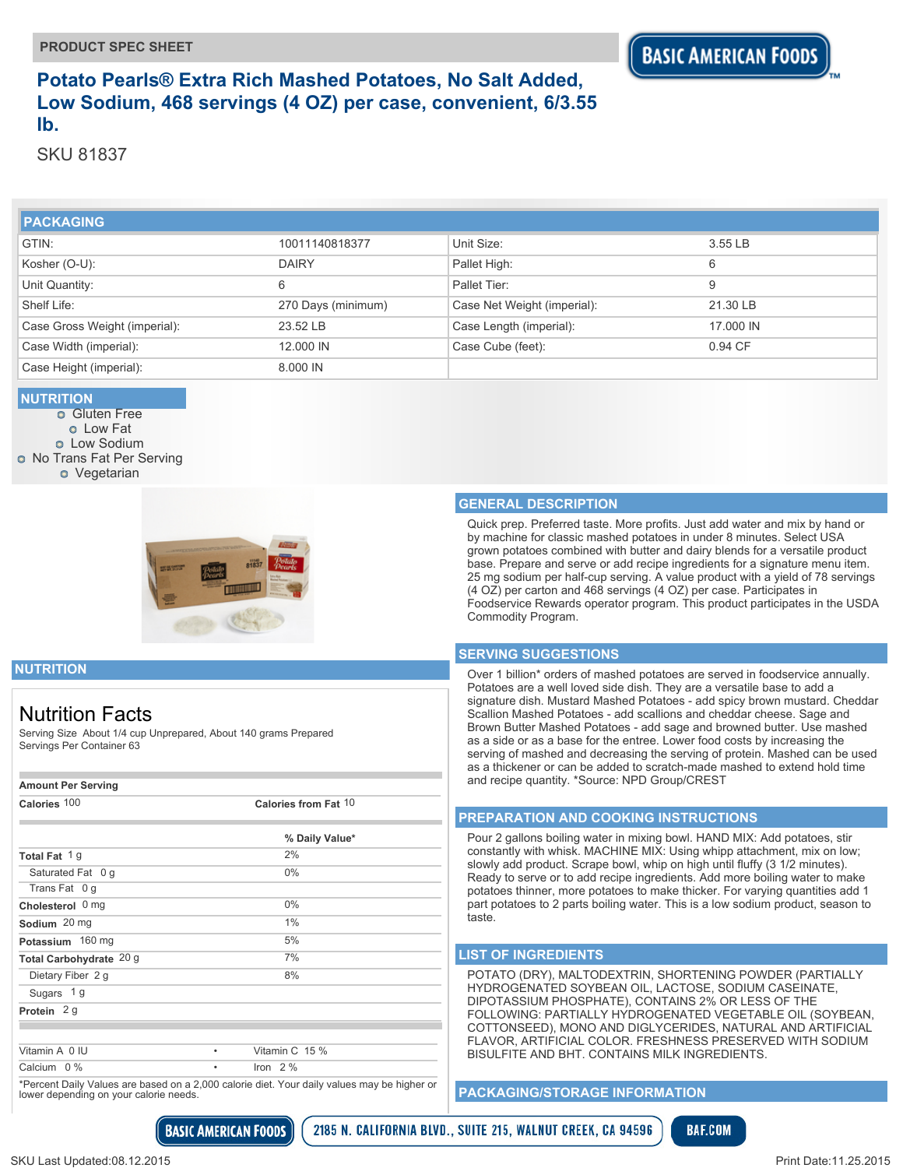## **Potato Pearls® Extra Rich Mashed Potatoes, No Salt Added, Low Sodium, 468 servings (4 OZ) per case, convenient, 6/3.55 lb.**

SKU 81837

| <b>PACKAGING</b>              |                    |                             |           |
|-------------------------------|--------------------|-----------------------------|-----------|
| GTIN:                         | 10011140818377     | Unit Size:                  | 3.55 LB   |
| Kosher (O-U):                 | <b>DAIRY</b>       | Pallet High:                | 6         |
| Unit Quantity:                | 6                  | Pallet Tier:                | 9         |
| Shelf Life:                   | 270 Days (minimum) | Case Net Weight (imperial): | 21.30 LB  |
| Case Gross Weight (imperial): | 23.52 LB           | Case Length (imperial):     | 17,000 IN |
| Case Width (imperial):        | 12,000 IN          | Case Cube (feet):           | 0.94 CF   |
| Case Height (imperial):       | 8.000 IN           |                             |           |

#### **NUTRITION**

**o** Gluten Free Low Fat **o** Low Sodium **O** No Trans Fat Per Serving **o** Vegetarian



#### **GENERAL DESCRIPTION**

Quick prep. Preferred taste. More profits. Just add water and mix by hand or by machine for classic mashed potatoes in under 8 minutes. Select USA grown potatoes combined with butter and dairy blends for a versatile product base. Prepare and serve or add recipe ingredients for a signature menu item. 25 mg sodium per half-cup serving. A value product with a yield of 78 servings (4 OZ) per carton and 468 servings (4 OZ) per case. Participates in Foodservice Rewards operator program. This product participates in the USDA Commodity Program.

#### **SERVING SUGGESTIONS**

Over 1 billion\* orders of mashed potatoes are served in foodservice annually. Potatoes are a well loved side dish. They are a versatile base to add a signature dish. Mustard Mashed Potatoes - add spicy brown mustard. Cheddar Scallion Mashed Potatoes - add scallions and cheddar cheese. Sage and Brown Butter Mashed Potatoes - add sage and browned butter. Use mashed as a side or as a base for the entree. Lower food costs by increasing the serving of mashed and decreasing the serving of protein. Mashed can be used as a thickener or can be added to scratch-made mashed to extend hold time and recipe quantity. \*Source: NPD Group/CREST

#### **PREPARATION AND COOKING INSTRUCTIONS**

Pour 2 gallons boiling water in mixing bowl. HAND MIX: Add potatoes, stir constantly with whisk. MACHINE MIX: Using whipp attachment, mix on low; slowly add product. Scrape bowl, whip on high until fluffy (3 1/2 minutes). Ready to serve or to add recipe ingredients. Add more boiling water to make potatoes thinner, more potatoes to make thicker. For varying quantities add 1 part potatoes to 2 parts boiling water. This is a low sodium product, season to taste.

#### **LIST OF INGREDIENTS**

POTATO (DRY), MALTODEXTRIN, SHORTENING POWDER (PARTIALLY HYDROGENATED SOYBEAN OIL, LACTOSE, SODIUM CASEINATE, DIPOTASSIUM PHOSPHATE), CONTAINS 2% OR LESS OF THE FOLLOWING: PARTIALLY HYDROGENATED VEGETABLE OIL (SOYBEAN, COTTONSEED), MONO AND DIGLYCERIDES, NATURAL AND ARTIFICIAL FLAVOR, ARTIFICIAL COLOR. FRESHNESS PRESERVED WITH SODIUM BISULFITE AND BHT. CONTAINS MILK INGREDIENTS.

#### **PACKAGING/STORAGE INFORMATION**



### **NUTRITION**

## Nutrition Facts

Serving Size About 1/4 cup Unprepared, About 140 grams Prepared Servings Per Container 63

| <b>Amount Per Serving</b> |                      |  |
|---------------------------|----------------------|--|
| Calories 100              | Calories from Fat 10 |  |
|                           | % Daily Value*       |  |
| Total Fat 1g              | 2%                   |  |
| Saturated Fat 0 g         | $0\%$                |  |
| Trans Fat 0 q             |                      |  |
| Cholesterol 0 mg          | $0\%$                |  |
| Sodium 20 mg              | 1%                   |  |
| Potassium 160 mg          | 5%                   |  |
| Total Carbohydrate 20 g   | 7%                   |  |
| Dietary Fiber 2 g         | 8%                   |  |
| Sugars 1g                 |                      |  |
| Protein $2g$              |                      |  |
|                           |                      |  |
| Vitamin A 0 IU            | Vitamin C 15 %<br>٠  |  |
| Calcium 0 %               | Iron $2\%$<br>٠      |  |

\*Percent Daily Values are based on a 2,000 calorie diet. Your daily values may be higher or lower depending on your calorie needs.

**BASIC AMERICAN FOODS**